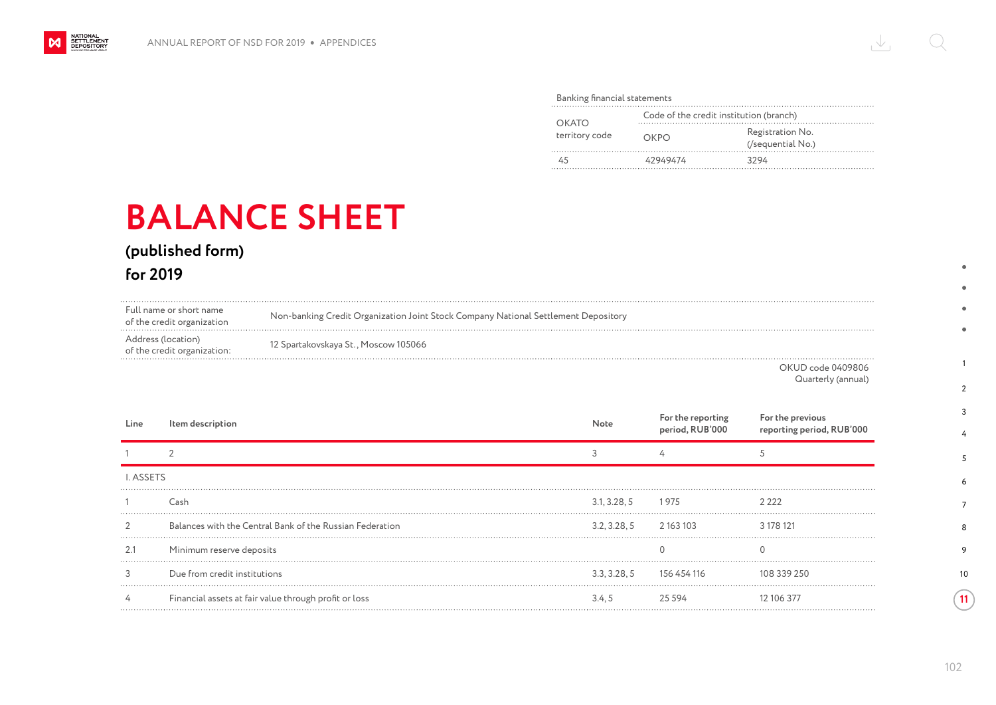## Banking financial statements

| OKATO<br>territory code | Code of the credit institution (branch) |                                       |  |
|-------------------------|-----------------------------------------|---------------------------------------|--|
|                         | OKPO                                    | Registration No.<br>(/sequential No.) |  |
|                         | 42949474                                | 3294                                  |  |

## **BALANCE SHEET**

**(published form)**

**for 2019**

NATIONAL<br>SETTLEMENT<br>DEPOSITORY

 $\boldsymbol{\mathsf{M}}$ 

| Full name or short name<br>of the credit organization | Non-banking Credit Organization Joint Stock Company National Settlement Depository |
|-------------------------------------------------------|------------------------------------------------------------------------------------|
| Address (location)                                    | 12 Spartakovskaya St., Moscow 105066                                               |
| of the credit organization:                           | _ _                                                                                |

OKUD code 0409806 Quarterly (annual)

| Line             | Item description                                         | Note                     | For the reporting<br>period, RUB'000 | For the previous<br>reporting period, RUB'000 |
|------------------|----------------------------------------------------------|--------------------------|--------------------------------------|-----------------------------------------------|
|                  |                                                          |                          |                                      |                                               |
| <b>I. ASSETS</b> |                                                          |                          |                                      |                                               |
|                  | Cash                                                     | 3.1, 3.28, 5             | 1975                                 | 2 2 2 2                                       |
|                  | Balances with the Central Bank of the Russian Federation | 3.2, 3.28, 5 2 163 103   |                                      | 3 178 121                                     |
| 2.1              | Minimum reserve deposits                                 |                          |                                      |                                               |
|                  | Due from credit institutions                             | 3.3, 3.28, 5 156 454 116 |                                      | 108 339 250                                   |
|                  | Financial assets at fair value through profit or loss    | 3.4.5                    | 25 594                               | 12 106 377                                    |

102

1

 $\bullet$  $\bullet$  $\bullet$  $\bullet$ 

 $\overline{2}$ 3 4

10

**11**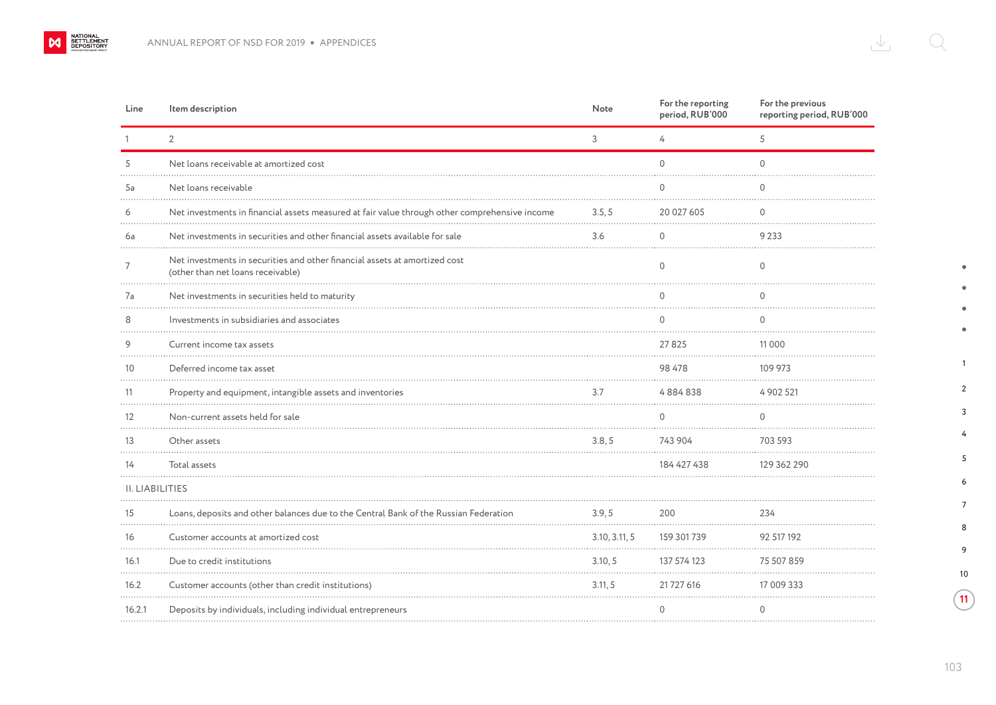NATIONAL SETTLEMENT

| Line      | Item description                                                                                                | Note          | For the reporting<br>period, RUB'000 | For the previous<br>reporting period, RUB'000 |
|-----------|-----------------------------------------------------------------------------------------------------------------|---------------|--------------------------------------|-----------------------------------------------|
|           | $\overline{2}$                                                                                                  | 3             | 4                                    | 5                                             |
| 5         | Net loans receivable at amortized cost                                                                          |               | $\Omega$                             | $\Omega$                                      |
| 5a        | Net loans receivable                                                                                            |               | $\Omega$                             | $\Omega$                                      |
| 6         | Net investments in financial assets measured at fair value through other comprehensive income                   | 3.5, 5        | 20 027 605                           | $\mathbf 0$                                   |
| 6a        | Net investments in securities and other financial assets available for sale                                     | 3.6           | $\Omega$                             | 9 2 3 3                                       |
| 7         | Net investments in securities and other financial assets at amortized cost<br>(other than net loans receivable) |               | $\mathbf 0$                          | 0                                             |
| 7a        | Net investments in securities held to maturity                                                                  |               | $\mathbf 0$                          | $\mathbf 0$                                   |
| 8         | Investments in subsidiaries and associates                                                                      |               | $\Omega$                             | $\Omega$                                      |
| 9         | Current income tax assets                                                                                       |               | 27825                                | 11 0 0 0                                      |
| 10        | Deferred income tax asset                                                                                       |               | 98 478                               | 109 973                                       |
| 11        | Property and equipment, intangible assets and inventories                                                       | 3.7           | 4884838                              | 4 902 521                                     |
| 12<br>.   | Non-current assets held for sale                                                                                |               | $\cap$                               | $\Omega$                                      |
| 13        | Other assets                                                                                                    | 3.8, 5        | 743 904                              | 703 593                                       |
| 14        | Total assets                                                                                                    |               | 184 427 438                          | 129 362 290                                   |
|           | II. LIABILITIES                                                                                                 |               |                                      |                                               |
| 15        | Loans, deposits and other balances due to the Central Bank of the Russian Federation                            | 3.9, 5        | 200                                  | 234                                           |
| 16        | Customer accounts at amortized cost                                                                             | 3.10, 3.11, 5 | 159 301 739                          | 92 517 192                                    |
| 16.1      | Due to credit institutions                                                                                      | 3.10, 5       | 137 574 123                          | 75 507 859                                    |
| 16.2<br>. | Customer accounts (other than credit institutions)                                                              | 3.11.5        | 21 727 616                           | 17 009 333                                    |
| 16.2.1    | Deposits by individuals, including individual entrepreneurs                                                     |               | $\mathbf{0}$                         | $\mathbf{0}$                                  |
|           |                                                                                                                 |               |                                      |                                               |

1

 $\Delta$ ٠  $\bullet$  $\bullet$ 

2 3 4

10

 $\sqrt{11}$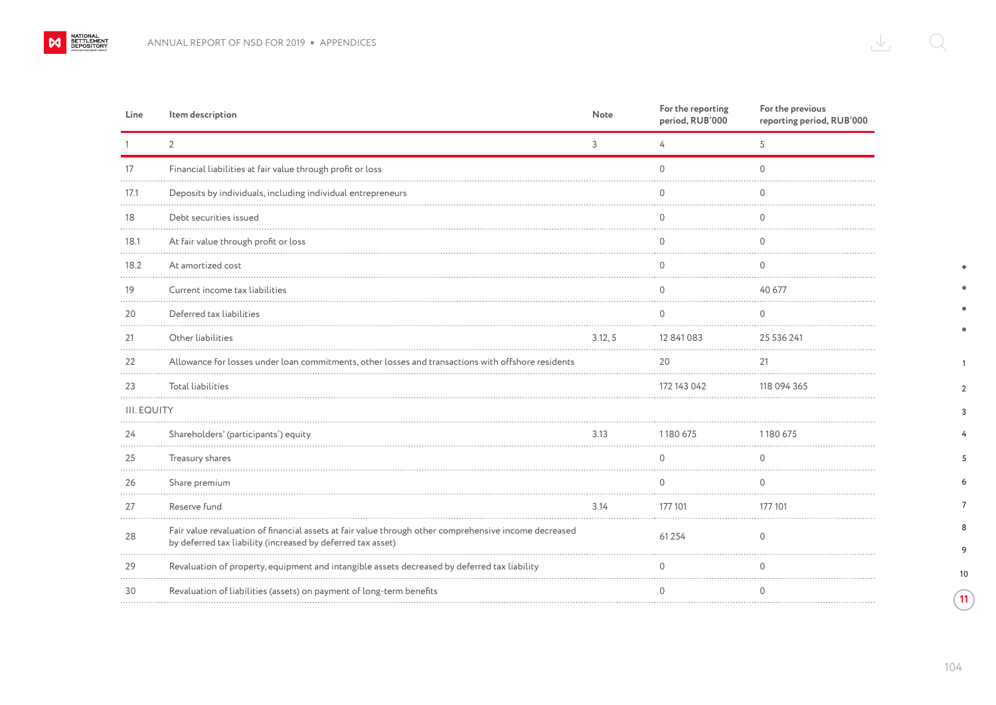| Line               | Item description                                                                                                                                                     | Note    | For the reporting<br>period, RUB'000 | For the previous<br>reporting period, RUB'000 |
|--------------------|----------------------------------------------------------------------------------------------------------------------------------------------------------------------|---------|--------------------------------------|-----------------------------------------------|
|                    | $\overline{2}$                                                                                                                                                       | 3       | 4                                    | 5                                             |
| 17                 | Financial liabilities at fair value through profit or loss                                                                                                           |         | $\Omega$                             | $\cap$                                        |
| 17.1               | Deposits by individuals, including individual entrepreneurs                                                                                                          |         | 0                                    |                                               |
| 18                 | Debt securities issued                                                                                                                                               |         | 0                                    | ∩                                             |
| 18.1               | At fair value through profit or loss                                                                                                                                 |         | $\Omega$                             | 0                                             |
| 18.2               | At amortized cost                                                                                                                                                    |         | 0                                    |                                               |
| 19<br>.            | Current income tax liabilities                                                                                                                                       |         |                                      | 40 677                                        |
| 20                 | Deferred tax liabilities                                                                                                                                             |         | $\Omega$                             | 0                                             |
| 21                 | Other liabilities                                                                                                                                                    | 3.12, 5 | 12 841 083                           | 25 536 241                                    |
| 22                 | Allowance for losses under loan commitments, other losses and transactions with offshore residents                                                                   |         | 20                                   | 21                                            |
| 23                 | <b>Total liabilities</b>                                                                                                                                             |         | 172 143 042                          | 118 094 365                                   |
| <b>III. EQUITY</b> |                                                                                                                                                                      |         |                                      |                                               |
| 24                 | Shareholders' (participants') equity                                                                                                                                 | 3.13    | 1180 675<br>.                        | 1180675                                       |
| 25                 | Treasury shares                                                                                                                                                      |         | 0                                    |                                               |
| 26                 | Share premium                                                                                                                                                        |         | $\Omega$                             | $\Omega$                                      |
| 27                 | Reserve fund                                                                                                                                                         | 3.14    | 177 101                              | 177 101                                       |
| 28                 | Fair value revaluation of financial assets at fair value through other comprehensive income decreased<br>by deferred tax liability (increased by deferred tax asset) |         | 61 2 5 4                             | $\Omega$                                      |
| 29                 | Revaluation of property, equipment and intangible assets decreased by deferred tax liability                                                                         |         | $\cap$                               |                                               |
| 30                 | Revaluation of liabilities (assets) on payment of long-term benefits                                                                                                 |         | $\Omega$                             | $\Omega$                                      |
|                    |                                                                                                                                                                      |         |                                      |                                               |

 $\bullet$  $\bullet$  $\bullet$  $\bullet$ 

 

 $\sqrt{11}$